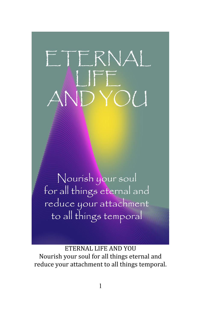# ETERNAL  $\overline{O}(1)$

Nourish your soul for all things eternal and reduce your attachment to all things temporal

ETERNAL LIFE AND YOU Nourish your soul for all things eternal and reduce your attachment to all things temporal.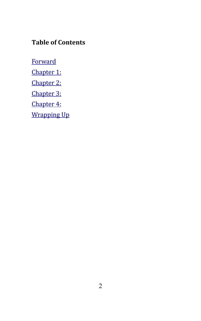## **Table of Contents**

**[Forward](#page-2-0)** [Chapter 1:](#page-4-0) [Chapter 2:](#page-9-0) [Chapter 3:](#page-14-0) [Chapter 4:](#page-18-0) [Wrapping Up](#page-23-0)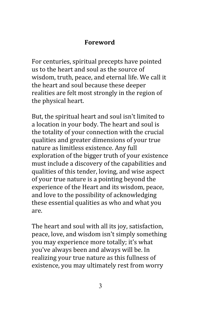#### <span id="page-2-0"></span>**Foreword**

For centuries, spiritual precepts have pointed us to the heart and soul as the source of wisdom, truth, peace, and eternal life. We call it the heart and soul because these deeper realities are felt most strongly in the region of the physical heart.

But, the spiritual heart and soul isn't limited to a location in your body. The heart and soul is the totality of your connection with the crucial qualities and greater dimensions of your true nature as limitless existence. Any full exploration of the bigger truth of your existence must include a discovery of the capabilities and qualities of this tender, loving, and wise aspect of your true nature is a pointing beyond the experience of the Heart and its wisdom, peace, and love to the possibility of acknowledging these essential qualities as who and what you are.

The heart and soul with all its joy, satisfaction, peace, love, and wisdom isn't simply something you may experience more totally; it's what you've always been and always will be. In realizing your true nature as this fullness of existence, you may ultimately rest from worry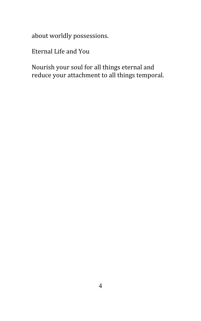about worldly possessions.

Eternal Life and You

Nourish your soul for all things eternal and reduce your attachment to all things temporal.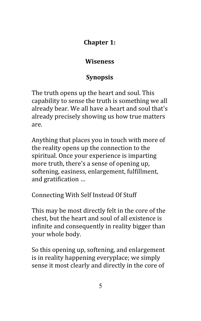## <span id="page-4-0"></span>**Chapter 1:**

## **Wiseness**

# **Synopsis**

The truth opens up the heart and soul. This capability to sense the truth is something we all already bear. We all have a heart and soul that's already precisely showing us how true matters are.

Anything that places you in touch with more of the reality opens up the connection to the spiritual. Once your experience is imparting more truth, there's a sense of opening up, softening, easiness, enlargement, fulfillment, and gratification …

Connecting With Self Instead Of Stuff

This may be most directly felt in the core of the chest, but the heart and soul of all existence is infinite and consequently in reality bigger than your whole body.

So this opening up, softening, and enlargement is in reality happening everyplace; we simply sense it most clearly and directly in the core of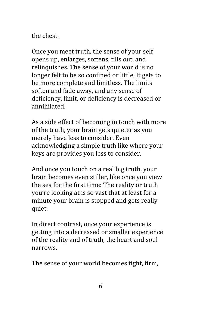the chest.

Once you meet truth, the sense of your self opens up, enlarges, softens, fills out, and relinquishes. The sense of your world is no longer felt to be so confined or little. It gets to be more complete and limitless. The limits soften and fade away, and any sense of deficiency, limit, or deficiency is decreased or annihilated.

As a side effect of becoming in touch with more of the truth, your brain gets quieter as you merely have less to consider. Even acknowledging a simple truth like where your keys are provides you less to consider.

And once you touch on a real big truth, your brain becomes even stiller, like once you view the sea for the first time: The reality or truth you're looking at is so vast that at least for a minute your brain is stopped and gets really quiet.

In direct contrast, once your experience is getting into a decreased or smaller experience of the reality and of truth, the heart and soul narrows.

The sense of your world becomes tight, firm,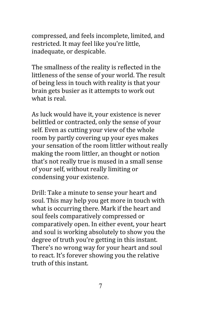compressed, and feels incomplete, limited, and restricted. It may feel like you're little, inadequate, or despicable.

The smallness of the reality is reflected in the littleness of the sense of your world. The result of being less in touch with reality is that your brain gets busier as it attempts to work out what is real.

As luck would have it, your existence is never belittled or contracted, only the sense of your self. Even as cutting your view of the whole room by partly covering up your eyes makes your sensation of the room littler without really making the room littler, an thought or notion that's not really true is mused in a small sense of your self, without really limiting or condensing your existence.

Drill: Take a minute to sense your heart and soul. This may help you get more in touch with what is occurring there. Mark if the heart and soul feels comparatively compressed or comparatively open. In either event, your heart and soul is working absolutely to show you the degree of truth you're getting in this instant. There's no wrong way for your heart and soul to react. It's forever showing you the relative truth of this instant.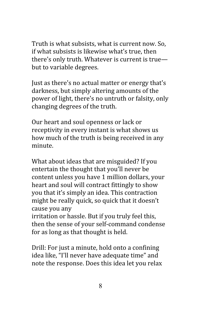Truth is what subsists, what is current now. So, if what subsists is likewise what's true, then there's only truth. Whatever is current is true but to variable degrees.

Just as there's no actual matter or energy that's darkness, but simply altering amounts of the power of light, there's no untruth or falsity, only changing degrees of the truth.

Our heart and soul openness or lack or receptivity in every instant is what shows us how much of the truth is being received in any minute.

What about ideas that are misguided? If you entertain the thought that you'll never be content unless you have 1 million dollars, your heart and soul will contract fittingly to show you that it's simply an idea. This contraction might be really quick, so quick that it doesn't cause you any

irritation or hassle. But if you truly feel this, then the sense of your self-command condense for as long as that thought is held.

Drill: For just a minute, hold onto a confining idea like, "I'll never have adequate time" and note the response. Does this idea let you relax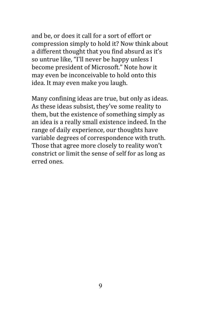and be, or does it call for a sort of effort or compression simply to hold it? Now think about a different thought that you find absurd as it's so untrue like, "I'll never be happy unless I become president of Microsoft." Note how it may even be inconceivable to hold onto this idea. It may even make you laugh.

Many confining ideas are true, but only as ideas. As these ideas subsist, they've some reality to them, but the existence of something simply as an idea is a really small existence indeed. In the range of daily experience, our thoughts have variable degrees of correspondence with truth. Those that agree more closely to reality won't constrict or limit the sense of self for as long as erred ones.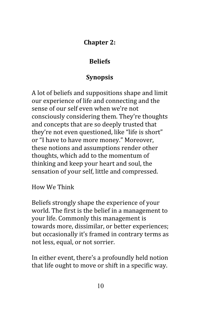## <span id="page-9-0"></span>**Chapter 2:**

# **Beliefs**

# **Synopsis**

A lot of beliefs and suppositions shape and limit our experience of life and connecting and the sense of our self even when we're not consciously considering them. They're thoughts and concepts that are so deeply trusted that they're not even questioned, like "life is short" or "I have to have more money." Moreover, these notions and assumptions render other thoughts, which add to the momentum of thinking and keep your heart and soul, the sensation of your self, little and compressed.

How We Think

Beliefs strongly shape the experience of your world. The first is the belief in a management to your life. Commonly this management is towards more, dissimilar, or better experiences; but occasionally it's framed in contrary terms as not less, equal, or not sorrier.

In either event, there's a profoundly held notion that life ought to move or shift in a specific way.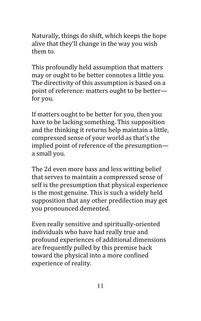Naturally, things do shift, which keeps the hope alive that they'll change in the way you wish them to.

This profoundly held assumption that matters may or ought to be better connotes a little you. The directivity of this assumption is based on a point of reference: matters ought to be better for you.

If matters ought to be better for you, then you have to be lacking something. This supposition and the thinking it returns help maintain a little, compressed sense of your world as that's the implied point of reference of the presumption a small you.

The 2d even more bass and less witting belief that serves to maintain a compressed sense of self is the presumption that physical experience is the most genuine. This is such a widely held supposition that any other predilection may get you pronounced demented.

Even really sensitive and spiritually-oriented individuals who have had really true and profound experiences of additional dimensions are frequently pulled by this premise back toward the physical into a more confined experience of reality.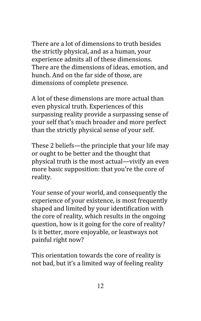There are a lot of dimensions to truth besides the strictly physical, and as a human, your experience admits all of these dimensions. There are the dimensions of ideas, emotion, and hunch. And on the far side of those, are dimensions of complete presence.

A lot of these dimensions are more actual than even physical truth. Experiences of this surpassing reality provide a surpassing sense of your self that's much broader and more perfect than the strictly physical sense of your self.

These 2 beliefs—the principle that your life may or ought to be better and the thought that physical truth is the most actual—vivify an even more basic supposition: that you're the core of reality.

Your sense of your world, and consequently the experience of your existence, is most frequently shaped and limited by your identification with the core of reality, which results in the ongoing question, how is it going for the core of reality? Is it better, more enjoyable, or leastways not painful right now?

This orientation towards the core of reality is not bad, but it's a limited way of feeling reality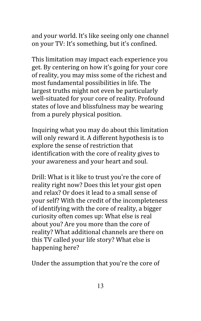and your world. It's like seeing only one channel on your TV: It's something, but it's confined.

This limitation may impact each experience you get. By centering on how it's going for your core of reality, you may miss some of the richest and most fundamental possibilities in life. The largest truths might not even be particularly well-situated for your core of reality. Profound states of love and blissfulness may be wearing from a purely physical position.

Inquiring what you may do about this limitation will only reward it. A different hypothesis is to explore the sense of restriction that identification with the core of reality gives to your awareness and your heart and soul.

Drill: What is it like to trust you're the core of reality right now? Does this let your gist open and relax? Or does it lead to a small sense of your self? With the credit of the incompleteness of identifying with the core of reality, a bigger curiosity often comes up: What else is real about you? Are you more than the core of reality? What additional channels are there on this TV called your life story? What else is happening here?

Under the assumption that you're the core of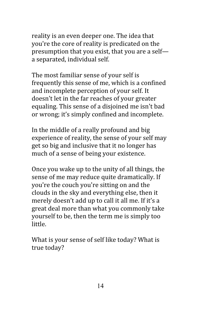reality is an even deeper one. The idea that you're the core of reality is predicated on the presumption that you exist, that you are a self a separated, individual self.

The most familiar sense of your self is frequently this sense of me, which is a confined and incomplete perception of your self. It doesn't let in the far reaches of your greater equaling. This sense of a disjoined me isn't bad or wrong; it's simply confined and incomplete.

In the middle of a really profound and big experience of reality, the sense of your self may get so big and inclusive that it no longer has much of a sense of being your existence.

Once you wake up to the unity of all things, the sense of me may reduce quite dramatically. If you're the couch you're sitting on and the clouds in the sky and everything else, then it merely doesn't add up to call it all me. If it's a great deal more than what you commonly take yourself to be, then the term me is simply too little.

What is your sense of self like today? What is true today?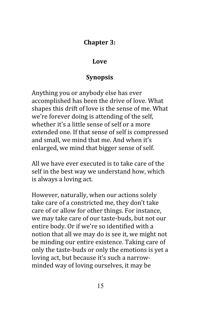#### <span id="page-14-0"></span>**Chapter 3:**

#### **Love**

## **Synopsis**

Anything you or anybody else has ever accomplished has been the drive of love. What shapes this drift of love is the sense of me. What we're forever doing is attending of the self, whether it's a little sense of self or a more extended one. If that sense of self is compressed and small, we mind that me. And when it's enlarged, we mind that bigger sense of self.

All we have ever executed is to take care of the self in the best way we understand how, which is always a loving act.

However, naturally, when our actions solely take care of a constricted me, they don't take care of or allow for other things. For instance, we may take care of our taste-buds, but not our entire body. Or if we're so identified with a notion that all we may do is see it, we might not be minding our entire existence. Taking care of only the taste-buds or only the emotions is yet a loving act, but because it's such a narrowminded way of loving ourselves, it may be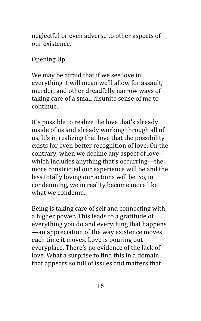neglectful or even adverse to other aspects of our existence.

Opening Up

We may be afraid that if we see love in everything it will mean we'll allow for assault, murder, and other dreadfully narrow ways of taking care of a small disunite sense of me to continue.

It's possible to realize the love that's already inside of us and already working through all of us. It's in realizing that love that the possibility exists for even better recognition of love. On the contrary, when we decline any aspect of love which includes anything that's occurring—the more constricted our experience will be and the less totally loving our actions will be. So, in condemning, we in reality become more like what we condemn.

Being is taking care of self and connecting with a higher power. This leads to a gratitude of everything you do and everything that happens —an appreciation of the way existence moves each time it moves. Love is pouring out everyplace. There's no evidence of the lack of love. What a surprise to find this in a domain that appears so full of issues and matters that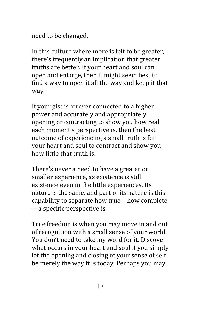need to be changed.

In this culture where more is felt to be greater, there's frequently an implication that greater truths are better. If your heart and soul can open and enlarge, then it might seem best to find a way to open it all the way and keep it that way.

If your gist is forever connected to a higher power and accurately and appropriately opening or contracting to show you how real each moment's perspective is, then the best outcome of experiencing a small truth is for your heart and soul to contract and show you how little that truth is.

There's never a need to have a greater or smaller experience, as existence is still existence even in the little experiences. Its nature is the same, and part of its nature is this capability to separate how true—how complete —a specific perspective is.

True freedom is when you may move in and out of recognition with a small sense of your world. You don't need to take my word for it. Discover what occurs in your heart and soul if you simply let the opening and closing of your sense of self be merely the way it is today. Perhaps you may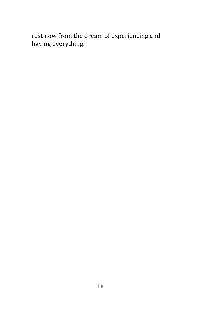rest now from the dream of experiencing and having everything.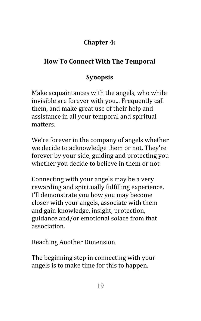# <span id="page-18-0"></span>**Chapter 4:**

# **How To Connect With The Temporal**

# **Synopsis**

Make acquaintances with the angels, who while invisible are forever with you... Frequently call them, and make great use of their help and assistance in all your temporal and spiritual matters.

We're forever in the company of angels whether we decide to acknowledge them or not. They're forever by your side, guiding and protecting you whether you decide to believe in them or not.

Connecting with your angels may be a very rewarding and spiritually fulfilling experience. I'll demonstrate you how you may become closer with your angels, associate with them and gain knowledge, insight, protection, guidance and/or emotional solace from that association.

Reaching Another Dimension

The beginning step in connecting with your angels is to make time for this to happen.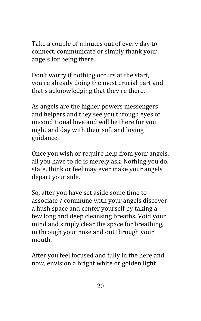Take a couple of minutes out of every day to connect, communicate or simply thank your angels for being there.

Don't worry if nothing occurs at the start, you're already doing the most crucial part and that's acknowledging that they're there.

As angels are the higher powers messengers and helpers and they see you through eyes of unconditional love and will be there for you night and day with their soft and loving guidance.

Once you wish or require help from your angels, all you have to do is merely ask. Nothing you do, state, think or feel may ever make your angels depart your side.

So, after you have set aside some time to associate / commune with your angels discover a hush space and center yourself by taking a few long and deep cleansing breaths. Void your mind and simply clear the space for breathing, in through your nose and out through your mouth.

After you feel focused and fully in the here and now, envision a bright white or golden light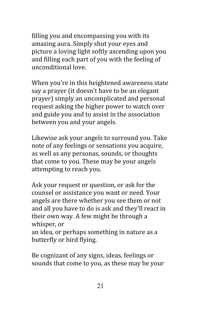filling you and encompassing you with its amazing aura. Simply shut your eyes and picture a loving light softly ascending upon you and filling each part of you with the feeling of unconditional love.

When you're in this heightened awareness state say a prayer (it doesn't have to be an elegant prayer) simply an uncomplicated and personal request asking the higher power to watch over and guide you and to assist in the association between you and your angels.

Likewise ask your angels to surround you. Take note of any feelings or sensations you acquire, as well as any personas, sounds, or thoughts that come to you. These may be your angels attempting to reach you.

Ask your request or question, or ask for the counsel or assistance you want or need. Your angels are there whether you see them or not and all you have to do is ask and they'll react in their own way. A few might be through a whisper, or

an idea, or perhaps something in nature as a butterfly or bird flying.

Be cognizant of any signs, ideas, feelings or sounds that come to you, as these may be your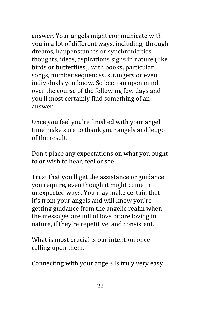answer. Your angels might communicate with you in a lot of different ways, including; through dreams, happenstances or synchronicities, thoughts, ideas, aspirations signs in nature (like birds or butterflies), with books, particular songs, number sequences, strangers or even individuals you know. So keep an open mind over the course of the following few days and you'll most certainly find something of an answer.

Once you feel you're finished with your angel time make sure to thank your angels and let go of the result.

Don't place any expectations on what you ought to or wish to hear, feel or see.

Trust that you'll get the assistance or guidance you require, even though it might come in unexpected ways. You may make certain that it's from your angels and will know you're getting guidance from the angelic realm when the messages are full of love or are loving in nature, if they're repetitive, and consistent.

What is most crucial is our intention once calling upon them.

Connecting with your angels is truly very easy.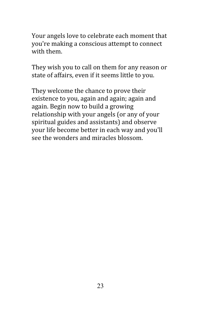Your angels love to celebrate each moment that you're making a conscious attempt to connect with them.

They wish you to call on them for any reason or state of affairs, even if it seems little to you.

They welcome the chance to prove their existence to you, again and again; again and again. Begin now to build a growing relationship with your angels (or any of your spiritual guides and assistants) and observe your life become better in each way and you'll see the wonders and miracles blossom.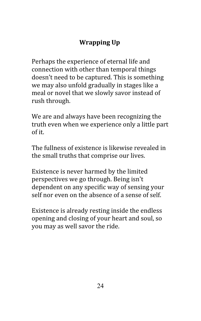# <span id="page-23-0"></span>**Wrapping Up**

Perhaps the experience of eternal life and connection with other than temporal things doesn't need to be captured. This is something we may also unfold gradually in stages like a meal or novel that we slowly savor instead of rush through.

We are and always have been recognizing the truth even when we experience only a little part of it.

The fullness of existence is likewise revealed in the small truths that comprise our lives.

Existence is never harmed by the limited perspectives we go through. Being isn't dependent on any specific way of sensing your self nor even on the absence of a sense of self.

Existence is already resting inside the endless opening and closing of your heart and soul, so you may as well savor the ride.